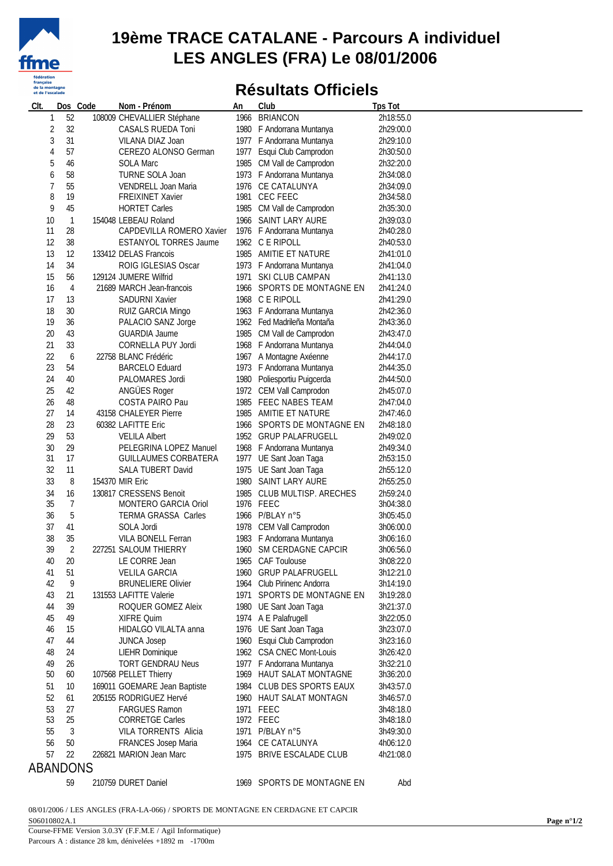

#### **19ème TRACE CATALANE - Parcours A individuel LES ANGLES (FRA) Le 08/01/2006**

### **Résultats Officiels**

| Clt.     | Dos Code       | Nom - Prénom                 | An | Club                                     | <b>Tps Tot</b>         |
|----------|----------------|------------------------------|----|------------------------------------------|------------------------|
| 1        | 52             | 108009 CHEVALLIER Stéphane   |    | 1966 BRIANCON                            | 2h18:55.0              |
| 2        | 32             | CASALS RUEDA Toni            |    | 1980 F Andorrana Muntanya                | 2h29:00.0              |
| 3        | 31             | VILANA DIAZ Joan             |    | 1977 F Andorrana Muntanya                | 2h29:10.0              |
| 4        | 57             | CEREZO ALONSO German         |    | 1977 Esqui Club Camprodon                | 2h30:50.0              |
| 5        | 46             | <b>SOLA Marc</b>             |    | 1985 CM Vall de Camprodon                | 2h32:20.0              |
| 6        | 58             | TURNE SOLA Joan              |    | 1973 F Andorrana Muntanya                | 2h34:08.0              |
| 7        | 55             | VENDRELL Joan Maria          |    | 1976 CE CATALUNYA                        | 2h34:09.0              |
| 8        | 19             | FREIXINET Xavier             |    | 1981 CEC FEEC                            | 2h34:58.0              |
| 9        | 45             | <b>HORTET Carles</b>         |    | 1985 CM Vall de Camprodon                | 2h35:30.0              |
| 10       | $\overline{1}$ | 154048 LEBEAU Roland         |    | 1966 SAINT LARY AURE                     | 2h39:03.0              |
| 11       | 28             | CAPDEVILLA ROMERO Xavier     |    | 1976 F Andorrana Muntanya                | 2h40:28.0              |
| 12       | 38             | <b>ESTANYOL TORRES Jaume</b> |    |                                          |                        |
| 13       | 12             | 133412 DELAS Francois        |    | 1962 C E RIPOLL<br>1985 AMITIE ET NATURE | 2h40:53.0<br>2h41:01.0 |
|          |                |                              |    |                                          |                        |
| 14       | 34             | ROIG IGLESIAS Oscar          |    | 1973 F Andorrana Muntanya                | 2h41:04.0              |
| 15       | 56             | 129124 JUMERE Wilfrid        |    | 1971 SKI CLUB CAMPAN                     | 2h41:13.0              |
| 16       | 4              | 21689 MARCH Jean-francois    |    | 1966 SPORTS DE MONTAGNE EN               | 2h41:24.0              |
| 17       | 13             | SADURNI Xavier               |    | 1968 C E RIPOLL                          | 2h41:29.0              |
| 18       | 30             | RUIZ GARCIA Mingo            |    | 1963 F Andorrana Muntanya                | 2h42:36.0              |
| 19       | 36             | PALACIO SANZ Jorge           |    | 1962 Fed Madrileña Montaña               | 2h43:36.0              |
| 20       | 43             | GUARDIA Jaume                |    | 1985 CM Vall de Camprodon                | 2h43:47.0              |
| 21       | 33             | CORNELLA PUY Jordi           |    | 1968 F Andorrana Muntanya                | 2h44:04.0              |
| 22       | 6              | 22758 BLANC Frédéric         |    | 1967 A Montagne Axéenne                  | 2h44:17.0              |
| 23       | 54             | <b>BARCELO Eduard</b>        |    | 1973 F Andorrana Muntanya                | 2h44:35.0              |
| 24       | 40             | PALOMARES Jordi              |    | 1980 Poliesportiu Puigcerda              | 2h44:50.0              |
| 25       | 42             | ANGÜES Roger                 |    | 1972 CEM Vall Camprodon                  | 2h45:07.0              |
| 26       | 48             | COSTA PAIRO Pau              |    | 1985 FEEC NABES TEAM                     | 2h47:04.0              |
| 27       | 14             | 43158 CHALEYER Pierre        |    | 1985 AMITIE ET NATURE                    | 2h47:46.0              |
| 28       | 23             | 60382 LAFITTE Eric           |    | 1966 SPORTS DE MONTAGNE EN               | 2h48:18.0              |
| 29       | 53             | <b>VELILA Albert</b>         |    | 1952 GRUP PALAFRUGELL                    | 2h49:02.0              |
| 30       | 29             | PELEGRINA LOPEZ Manuel       |    | 1968 F Andorrana Muntanya                | 2h49:34.0              |
| 31       | 17             | <b>GUILLAUMES CORBATERA</b>  |    | 1977 UE Sant Joan Taga                   | 2h53:15.0              |
| 32       | 11             | SALA TUBERT David            |    | 1975 UE Sant Joan Taga                   | 2h55:12.0              |
| 33       | 8              | 154370 MIR Eric              |    | 1980 SAINT LARY AURE                     | 2h55:25.0              |
| 34       | 16             | 130817 CRESSENS Benoit       |    | 1985 CLUB MULTISP. ARECHES               | 2h59:24.0              |
| 35       | 7              | MONTERO GARCIA Oriol         |    | 1976 FEEC                                | 3h04:38.0              |
| 36       | 5              | <b>TERMA GRASSA Carles</b>   |    | 1966 P/BLAY n°5                          | 3h05:45.0              |
| 37       | 41             | SOLA Jordi                   |    | 1978 CEM Vall Camprodon                  | 3h06:00.0              |
| 38       | 35             | VILA BONELL Ferran           |    | 1983 F Andorrana Muntanya                | 3h06:16.0              |
| 39       | $\overline{2}$ | 227251 SALOUM THIERRY        |    | 1960 SM CERDAGNE CAPCIR                  | 3h06:56.0              |
| 40       | 20             | LE CORRE Jean                |    | 1965 CAF Toulouse                        | 3h08:22.0              |
| 41       | 51             | <b>VELILA GARCIA</b>         |    | 1960 GRUP PALAFRUGELL                    | 3h12:21.0              |
| 42       | 9              | <b>BRUNELIERE Olivier</b>    |    | 1964 Club Pirinenc Andorra               | 3h14:19.0              |
| 43       | 21             | 131553 LAFITTE Valerie       |    | 1971 SPORTS DE MONTAGNE EN               | 3h19:28.0              |
| 44       | 39             | ROQUER GOMEZ Aleix           |    | 1980 UE Sant Joan Taga                   | 3h21:37.0              |
| 45       | 49             | XIFRE Quim                   |    | 1974 A E Palafrugell                     | 3h22:05.0              |
| 46       | 15             | HIDALGO VILALTA anna         |    | 1976 UE Sant Joan Taga                   | 3h23:07.0              |
| 47       | 44             | <b>JUNCA Josep</b>           |    | 1960 Esqui Club Camprodon                | 3h23:16.0              |
| 48       | 24             | <b>LIEHR Dominique</b>       |    | 1962 CSA CNEC Mont-Louis                 | 3h26:42.0              |
| 49       | 26             | <b>TORT GENDRAU Neus</b>     |    | 1977 F Andorrana Muntanya                | 3h32:21.0              |
| 50       | 60             | 107568 PELLET Thierry        |    | 1969 HAUT SALAT MONTAGNE                 | 3h36:20.0              |
| 51       | 10             | 169011 GOEMARE Jean Baptiste |    | 1984 CLUB DES SPORTS EAUX                | 3h43:57.0              |
| 52       | 61             | 205155 RODRIGUEZ Hervé       |    | 1960 HAUT SALAT MONTAGN                  | 3h46:57.0              |
| 53       |                | <b>FARGUES Ramon</b>         |    |                                          |                        |
| 53       | 27             |                              |    | 1971 FEEC                                | 3h48:18.0              |
|          | 25             | <b>CORRETGE Carles</b>       |    | 1972 FEEC                                | 3h48:18.0              |
| 55       | 3              | VILA TORRENTS Alicia         |    | 1971 P/BLAY n°5                          | 3h49:30.0              |
| 56       | 50             | FRANCES Josep Maria          |    | 1964 CE CATALUNYA                        | 4h06:12.0              |
| 57       | 22             | 226821 MARION Jean Marc      |    | 1975 BRIVE ESCALADE CLUB                 | 4h21:08.0              |
| ABANDONS |                |                              |    |                                          |                        |
|          | 59             | 210759 DURET Daniel          |    | 1969 SPORTS DE MONTAGNE EN               | Abd                    |

08/01/2006 / LES ANGLES (FRA-LA-066) / SPORTS DE MONTAGNE EN CERDAGNE ET CAPCIR S06010802A.1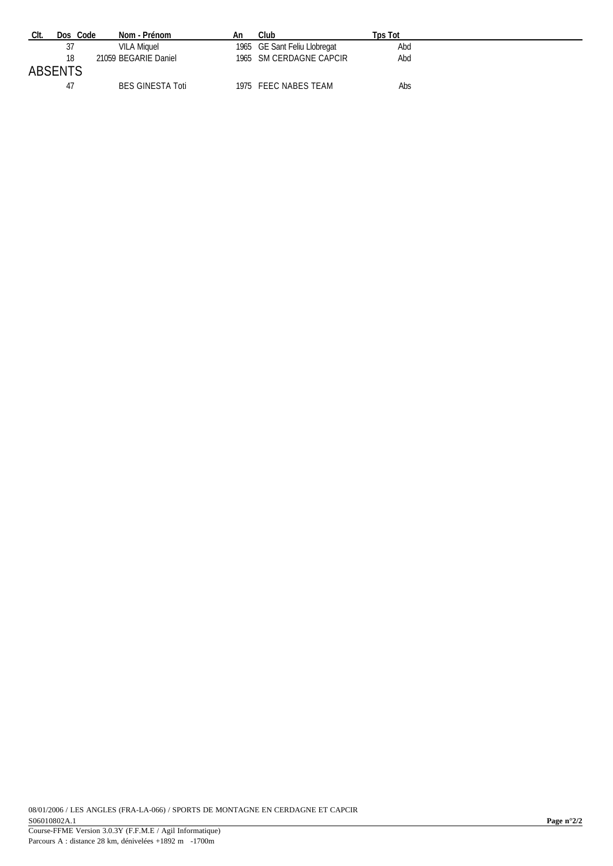| CIt.    | Dos Code | Nom - Prénom            | An | Club                         | Tps Tot |  |
|---------|----------|-------------------------|----|------------------------------|---------|--|
|         |          | VILA Miquel             |    | 1965 GE Sant Feliu Llobregat | Abd     |  |
| ABSENTS | 18       | 21059 BEGARIE Daniel    |    | 1965 SM CERDAGNE CAPCIR      | Abd     |  |
|         | 47       | <b>BES GINESTA Toti</b> |    | 1975 FEEC NABES TEAM         | Abs     |  |

Parcours A : distance 28 km, dénivelées +1892 m -1700m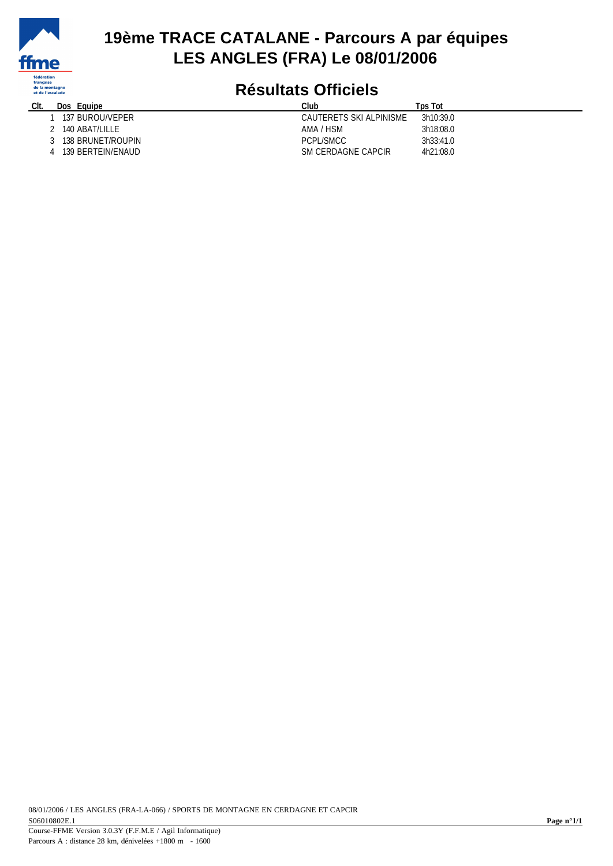

### **19ème TRACE CATALANE - Parcours A par équipes LES ANGLES (FRA) Le 08/01/2006**

# **Résultats Officiels**

| CIt. | Dos<br>Eauipe     | Club                    | <b>Tps Tot</b> |
|------|-------------------|-------------------------|----------------|
|      | 137 BUROU/VEPER   | CAUTERETS SKI ALPINISME | 3h10:39.0      |
|      | 140 ABAT/LILLE    | AMA / HSM               | 3h18:08.0      |
|      | 138 BRUNET/ROUPIN | PCPL/SMCC               | 3h33:41.0      |
|      | 139 BERTEIN/ENAUD | SM CERDAGNE CAPCIR      | 4h21:08.0      |
|      |                   |                         |                |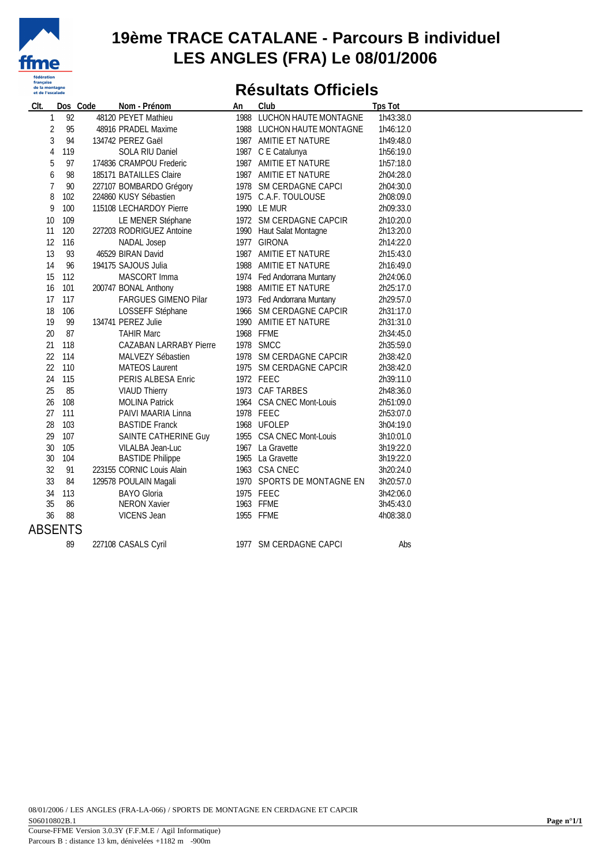

#### **19ème TRACE CATALANE - Parcours B individuel LES ANGLES (FRA) Le 08/01/2006**

### **Résultats Officiels**

| CIt.           | Dos Code | Nom - Prénom                  | An | Club                       | <b>Tps Tot</b> |  |
|----------------|----------|-------------------------------|----|----------------------------|----------------|--|
| 1              | 92       | 48120 PEYET Mathieu           |    | 1988 LUCHON HAUTE MONTAGNE | 1h43:38.0      |  |
| 2              | 95       | 48916 PRADEL Maxime           |    | 1988 LUCHON HAUTE MONTAGNE | 1h46:12.0      |  |
| 3              | 94       | 134742 PEREZ Gaël             |    | 1987 AMITIE ET NATURE      | 1h49:48.0      |  |
| 4              | 119      | SOLA RIU Daniel               |    | 1987 C E Catalunya         | 1h56:19.0      |  |
| 5              | 97       | 174836 CRAMPOU Frederic       |    | 1987 AMITIE ET NATURE      | 1h57:18.0      |  |
| 6              | 98       | 185171 BATAILLES Claire       |    | 1987 AMITIE ET NATURE      | 2h04:28.0      |  |
| $\overline{7}$ | 90       | 227107 BOMBARDO Grégory       |    | 1978 SM CERDAGNE CAPCI     | 2h04:30.0      |  |
| 8              | 102      | 224860 KUSY Sébastien         |    | 1975 C.A.F. TOULOUSE       | 2h08:09.0      |  |
| 9              | 100      | 115108 LECHARDOY Pierre       |    | 1990 LE MUR                | 2h09:33.0      |  |
| 10             | 109      | LE MENER Stéphane             |    | 1972 SM CERDAGNE CAPCIR    | 2h10:20.0      |  |
| 11             | 120      | 227203 RODRIGUEZ Antoine      |    | 1990 Haut Salat Montagne   | 2h13:20.0      |  |
| 12             | 116      | NADAL Josep                   |    | 1977 GIRONA                | 2h14:22.0      |  |
| 13             | 93       | 46529 BIRAN David             |    | 1987 AMITIE ET NATURE      | 2h15:43.0      |  |
| 14             | 96       | 194175 SAJOUS Julia           |    | 1988 AMITIE ET NATURE      | 2h16:49.0      |  |
| 15             | 112      | MASCORT Imma                  |    | 1974 Fed Andorrana Muntany | 2h24:06.0      |  |
| 16             | 101      | 200747 BONAL Anthony          |    | 1988 AMITIE ET NATURE      | 2h25:17.0      |  |
| 17             | 117      | FARGUES GIMENO Pilar          |    | 1973 Fed Andorrana Muntany | 2h29:57.0      |  |
| 18             | 106      | LOSSEFF Stéphane              |    | 1966 SM CERDAGNE CAPCIR    | 2h31:17.0      |  |
| 19             | 99       | 134741 PEREZ Julie            |    | 1990 AMITIE ET NATURE      | 2h31:31.0      |  |
| 20             | 87       | <b>TAHIR Marc</b>             |    | 1968 FFME                  | 2h34:45.0      |  |
| 21             | 118      | <b>CAZABAN LARRABY Pierre</b> |    | 1978 SMCC                  | 2h35:59.0      |  |
| 22             | 114      | MALVEZY Sébastien             |    | 1978 SM CERDAGNE CAPCIR    | 2h38:42.0      |  |
| 22             | 110      | <b>MATEOS Laurent</b>         |    | 1975 SM CERDAGNE CAPCIR    | 2h38:42.0      |  |
| 24             | 115      | PERIS ALBESA Enric            |    | 1972 FEEC                  | 2h39:11.0      |  |
| 25             | 85       | <b>VIAUD Thierry</b>          |    | 1973 CAF TARBES            | 2h48:36.0      |  |
| 26             | 108      | <b>MOLINA Patrick</b>         |    | 1964 CSA CNEC Mont-Louis   | 2h51:09.0      |  |
| 27             | 111      | PAIVI MAARIA Linna            |    | 1978 FEEC                  | 2h53:07.0      |  |
| 28             | 103      | <b>BASTIDE Franck</b>         |    | 1968 UFOLEP                | 3h04:19.0      |  |
| 29             | 107      | SAINTE CATHERINE Guy          |    | 1955 CSA CNEC Mont-Louis   | 3h10:01.0      |  |
| 30             | 105      | VILALBA Jean-Luc              |    | 1967 La Gravette           | 3h19:22.0      |  |
| 30             | 104      | <b>BASTIDE Philippe</b>       |    | 1965 La Gravette           | 3h19:22.0      |  |
| 32             | 91       | 223155 CORNIC Louis Alain     |    | 1963 CSA CNEC              | 3h20:24.0      |  |
| 33             | 84       | 129578 POULAIN Magali         |    | 1970 SPORTS DE MONTAGNE EN | 3h20:57.0      |  |
| 34             | 113      | <b>BAYO Gloria</b>            |    | 1975 FEEC                  | 3h42:06.0      |  |
| 35             | 86       | <b>NERON Xavier</b>           |    | 1963 FFME                  | 3h45:43.0      |  |
| 36             | 88       | VICENS Jean                   |    | 1955 FFME                  | 4h08:38.0      |  |
| <b>ABSENTS</b> |          |                               |    |                            |                |  |
|                | 89       | 227108 CASALS Cyril           |    | 1977 SM CERDAGNE CAPCI     | Abs            |  |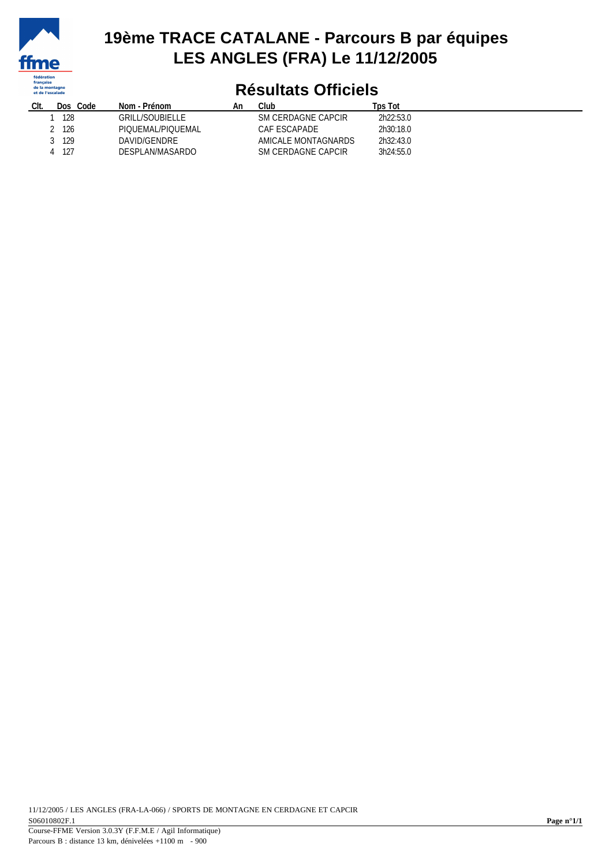

### **19ème TRACE CATALANE - Parcours B par équipes LES ANGLES (FRA) Le 11/12/2005**

## **Résultats Officiels**

| Clt. | Code<br>Dos: | Nom - Prénom      | An | Club                | Tps Tot   |
|------|--------------|-------------------|----|---------------------|-----------|
|      | 128          | GRILL/SOUBIELLE.  |    | SM CERDAGNE CAPCIR  | 2h22:53.0 |
|      | 126          | PIOUEMAL/PIOUEMAL |    | CAF ESCAPADE        | 2h30:18.0 |
|      | 129          | DAVID/GENDRE      |    | AMICALE MONTAGNARDS | 2h32:43.0 |
|      | 127          | DESPLAN/MASARDO   |    | SM CERDAGNE CAPCIR  | 3h24:55.0 |
|      |              |                   |    |                     |           |